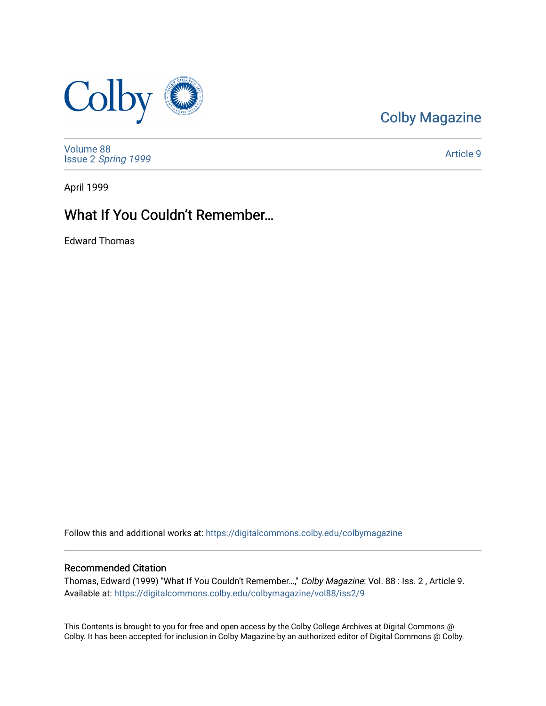

[Colby Magazine](https://digitalcommons.colby.edu/colbymagazine) 

[Volume 88](https://digitalcommons.colby.edu/colbymagazine/vol88) Issue 2 [Spring 1999](https://digitalcommons.colby.edu/colbymagazine/vol88/iss2) 

[Article 9](https://digitalcommons.colby.edu/colbymagazine/vol88/iss2/9) 

April 1999

### What If You Couldn't Remember…

Edward Thomas

Follow this and additional works at: [https://digitalcommons.colby.edu/colbymagazine](https://digitalcommons.colby.edu/colbymagazine?utm_source=digitalcommons.colby.edu%2Fcolbymagazine%2Fvol88%2Fiss2%2F9&utm_medium=PDF&utm_campaign=PDFCoverPages)

#### Recommended Citation

Thomas, Edward (1999) "What If You Couldn't Remember...," Colby Magazine: Vol. 88 : Iss. 2, Article 9. Available at: [https://digitalcommons.colby.edu/colbymagazine/vol88/iss2/9](https://digitalcommons.colby.edu/colbymagazine/vol88/iss2/9?utm_source=digitalcommons.colby.edu%2Fcolbymagazine%2Fvol88%2Fiss2%2F9&utm_medium=PDF&utm_campaign=PDFCoverPages)

This Contents is brought to you for free and open access by the Colby College Archives at Digital Commons @ Colby. It has been accepted for inclusion in Colby Magazine by an authorized editor of Digital Commons @ Colby.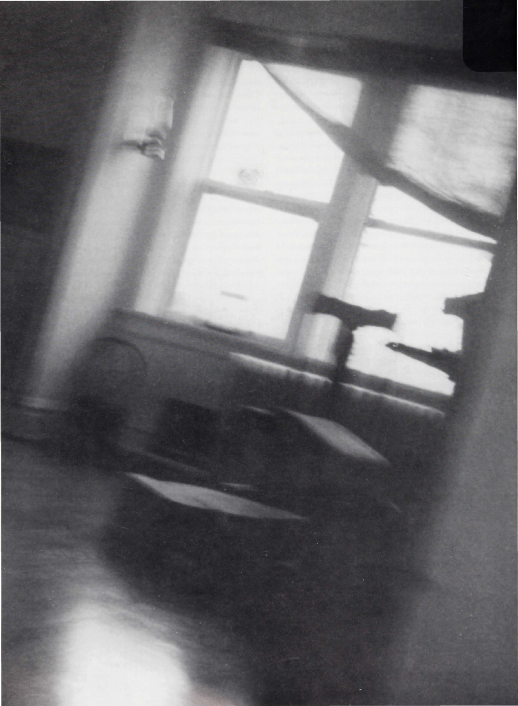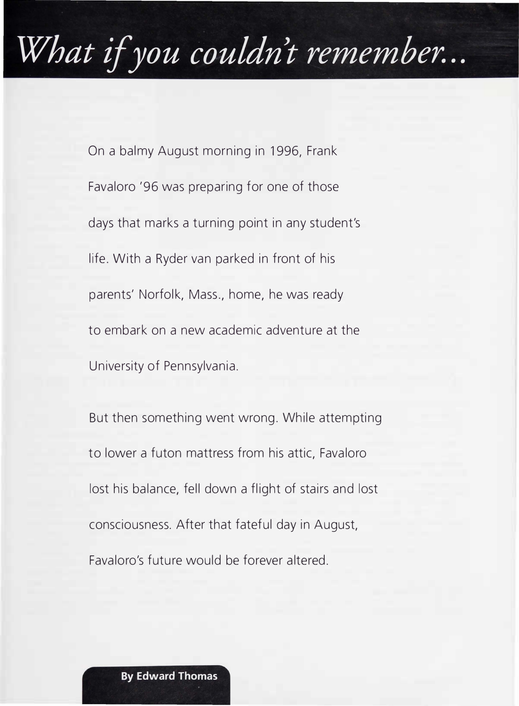# What if you couldn't remember...

On a balmy August morning in 1996, Frank Favaloro '96 was preparing for one of those days that marks a turning point in any student's life. With a Ryder van parked in front of his parents' Norfolk, Mass., home, he was ready to embark on a new academic adventure at the University of Pennsylvania.

But then something went wrong. While attempting to lower a futon mattress from his attic, Favaloro lost his balance, fell down a flight of stairs and lost consciousness. After that fateful day in August, Favaloro's future would be forever altered.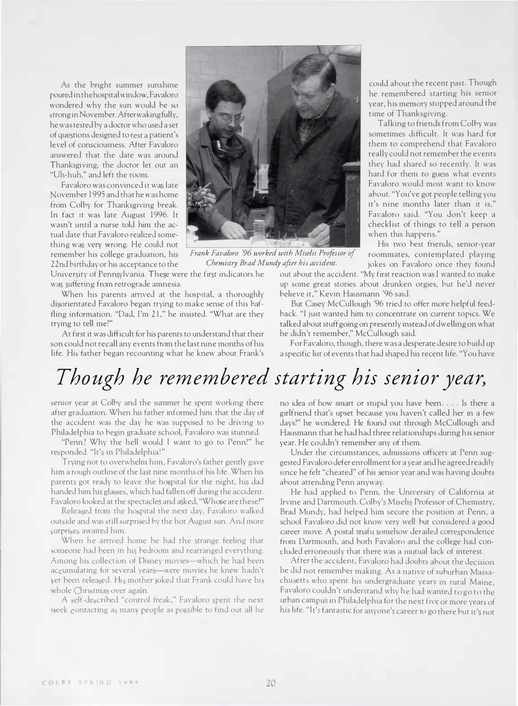level of consciousness. After Favaloro Thanksgiving, the doctor let out an "Uh-huh," and left the room.

Favaloro was convinced it was late from Colby for Thanksgiving break. thing was very wrong. He could not

University of Pennsylvania. These were the first indicators he out about the accident. "My first reaction was I wanted to make

When his parents arrived at the hospital, a thoroughly believe it," Kevin Hausmann '96 said. disorientated Favaloro began trying to make sense of this baf-<br>But Casey McCullough '96 tried to offer more helpful feed-

At first it was difficult for his parents to understand that their son could not recall any events from the last nine months of his For Favaloro, though, there was a desperate desire to build up



remember his college graduation, his Frank Favaloro '96 worked with Miselis Professor of roommates, contemplated playing<br>22nd birthdavor his acceptance to the Chemistry Brad Mundy after his accident. jokes on Favaloro once 22nd birthday or his acceptance to the Chemistry Brad Mundy after his accident. jokes on Favaloro once they found

hard for them to guess what events<br>Favaloro would most want to know

was suffering from retrograde amnesia. The up some great stories about drunken orgies, but he'd never

fling information. "Dad, I'm 21," he insisted. "What are they back. "I just wanted him to concentrate on current topics. We trying to tell me?" talked about stuff going on presently instead of dwelling on what<br>At first it was difficult for his parents to understand that their he didn't remember," McCullough said.

life. His father began recounting what he knew about Frank's aspecific list of events that had shaped his recent life. "You have

## Though he remembered starting his senior year,

senior year at Colby and the summer he spent working there after graduation. When his father informed him that the day of the accident was the day he was supposed to be driving to Philadelphia to begin graduate school, Favaloro was stunned.

"Penn? Why the hell would I want to go to Penn?" he responded. "It's in Philadelphia!"

Trying not to overwhelm him, Favaloro's father gently gave him a rough outline of the last nine months of his life. When his parents got ready to leave the hospital for the night, his dad handed him his glasses, which had fallen off during the accident. Favaloro looked at the spectacles and asked, "Whose are these?"

Released from the hospital the next day, Favaloro walked outside and was still surprised by the hot August sun. And more surprises awaited him.

When he arrived home he had the strange feeling that someone had been in his bedroom and rearranged everything. Among his collection of Disney movies—which he had been accumulating for several years-were movies he knew hadn't yet been released. His mother joked that Frank could have his whole Christmas over again.

A self-described "control freak," Favaloro spent the next week contacting as many people as possible to find out all he no idea of how smart or stupid you have been .... Is there a girlfriend that's upset because you haven't called her in a few days?" he wondered. He found out through McCullough and Hausmann that he had had three relationships during his senior year. He couldn't remember any of them.

Under the circumstances, admissions officers at Penn suggested Favaloro defer enrollment for a year and he agreed readily since he felt "cheated" of his enior year and was having doubts about attending Penn anyway.

He had applied to Penn, the University of California at Irvine and Dartmouth. Colby's Miselis Professor of Chemistry, Brad Mundy, had helped him secure the position at Penn, a school Favaloro did not know very well but considered a good career move. A postal snafu somehow derailed correspondence from Dartmouth, and both Favaloro and the college had concluded erroneously that there was a mutual lack of interest.

After the accident, Favaloro had doubts about the dec ision he did not remember making. As a native of suburban Massachusetts who spent his undergraduate years in rural Maine, Favaloro couldn't understand why he had wanted to go to the urban campus in Philadelphia for the next five or more years of his life. "It's fantastic for anyone's career to go there but it's not